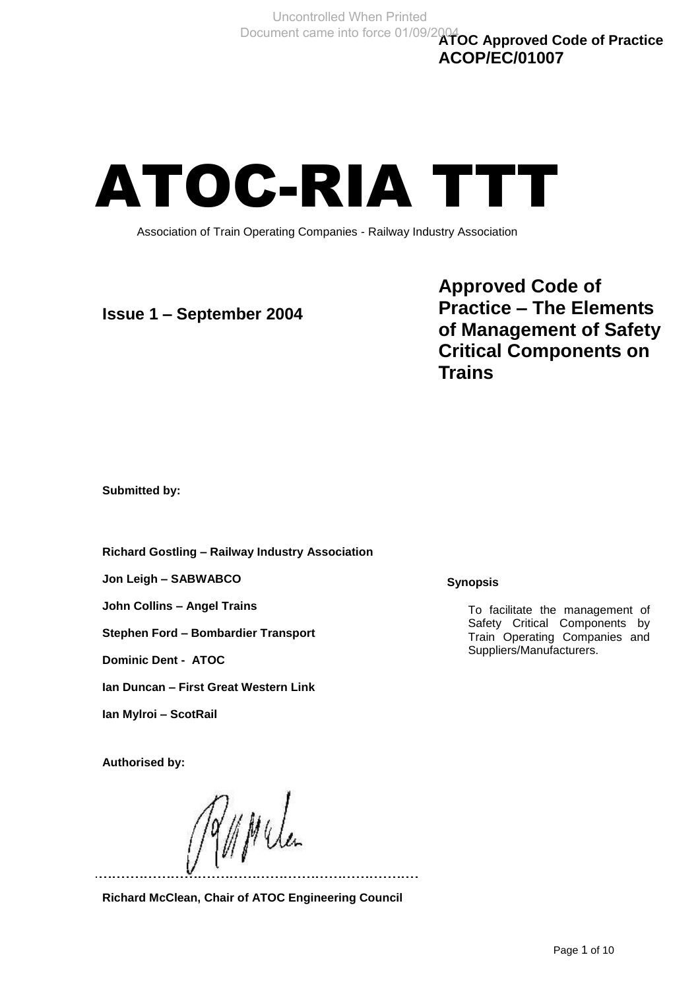# ATOC-RIA TTT

Association of Train Operating Companies - Railway Industry Association

# **Issue 1 – September 2004**

**Approved Code of Practice – The Elements of Management of Safety Critical Components on Trains**

**Submitted by:**

**Richard Gostling – Railway Industry Association**

**Jon Leigh – SABWABCO**

**John Collins – Angel Trains**

**Stephen Ford – Bombardier Transport**

**Dominic Dent - ATOC**

**Ian Duncan – First Great Western Link**

**Ian Mylroi – ScotRail**

**Authorised by:** 

MMUL

**Richard McClean, Chair of ATOC Engineering Council**

#### **Synopsis**

. . . . . . . . .

To facilitate the management of Safety Critical Components by Train Operating Companies and Suppliers/Manufacturers.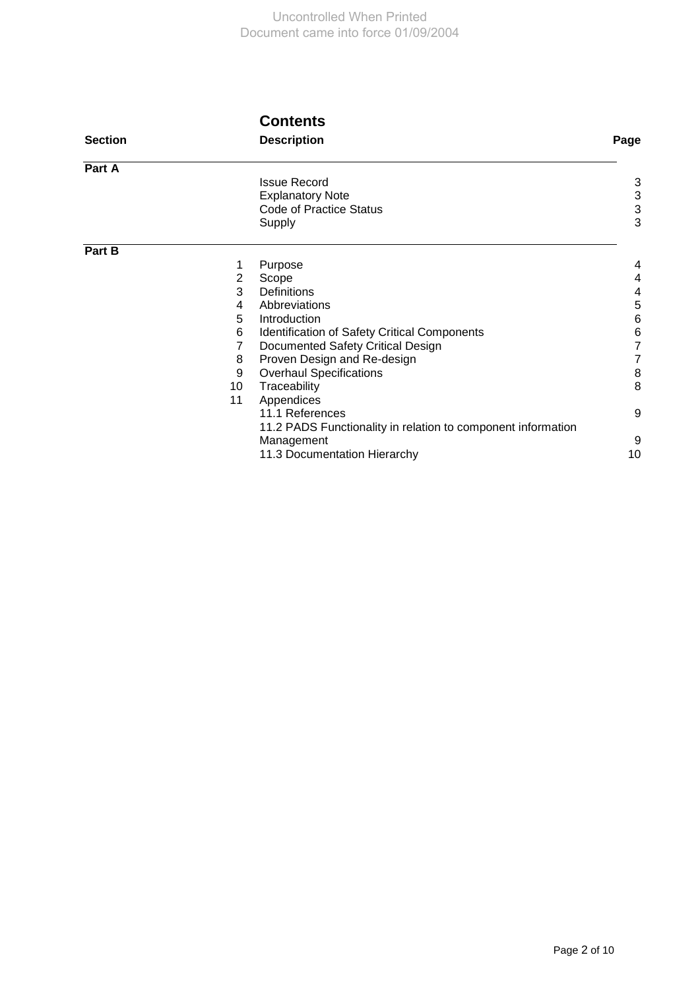|                |    | <b>Contents</b>                                              |                           |
|----------------|----|--------------------------------------------------------------|---------------------------|
| <b>Section</b> |    | <b>Description</b>                                           | Page                      |
| Part A         |    |                                                              |                           |
|                |    | <b>Issue Record</b>                                          | 3                         |
|                |    | <b>Explanatory Note</b>                                      | 3                         |
|                |    | <b>Code of Practice Status</b>                               | $\ensuremath{\mathsf{3}}$ |
|                |    | Supply                                                       | 3                         |
| Part B         |    |                                                              |                           |
|                | 1  | Purpose                                                      | 4                         |
|                | 2  | Scope                                                        | $\overline{\mathbf{4}}$   |
|                | 3  | <b>Definitions</b>                                           | $\overline{\mathcal{A}}$  |
|                | 4  | Abbreviations                                                | 5                         |
|                | 5  | Introduction                                                 | $\,6$                     |
|                | 6  | Identification of Safety Critical Components                 | $\,$ 6 $\,$               |
|                | 7  | Documented Safety Critical Design                            | $\overline{7}$            |
|                | 8  | Proven Design and Re-design                                  | 7                         |
|                | 9  | <b>Overhaul Specifications</b>                               | $\, 8$                    |
|                | 10 | Traceability                                                 | 8                         |
|                | 11 | Appendices                                                   |                           |
|                |    | 11.1 References                                              | 9                         |
|                |    | 11.2 PADS Functionality in relation to component information |                           |
|                |    | Management                                                   | 9                         |
|                |    | 11.3 Documentation Hierarchy                                 | 10                        |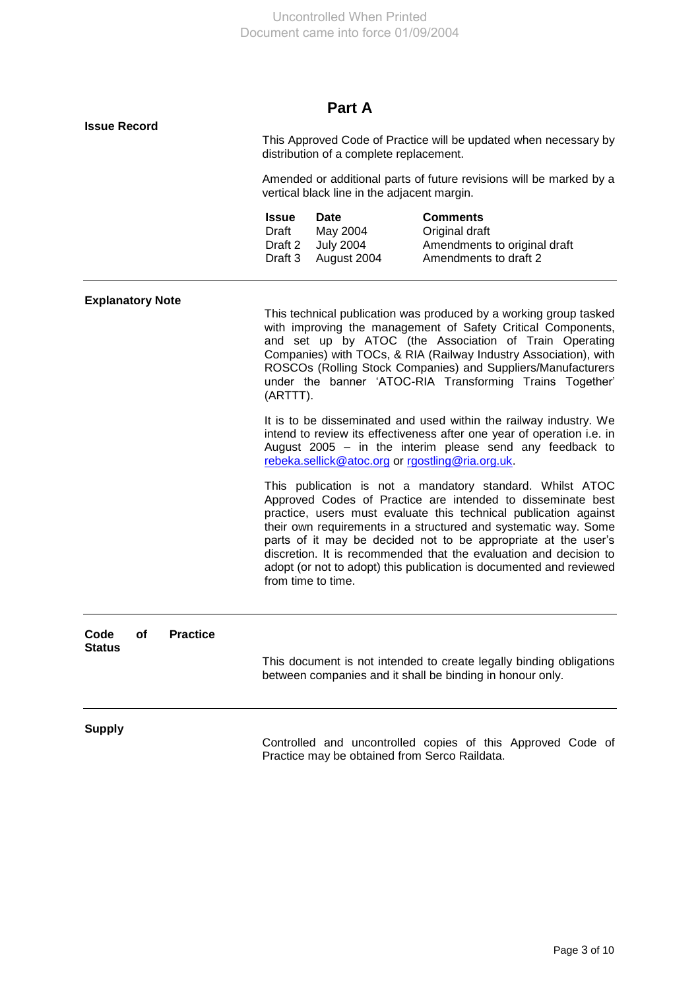**Part A** 

| <b>Issue Record</b>     | This Approved Code of Practice will be updated when necessary by<br>distribution of a complete replacement.<br>Amended or additional parts of future revisions will be marked by a<br>vertical black line in the adjacent margin. |                                                            |                                                                                                                                                                                                                                                                                                                                                                                             |
|-------------------------|-----------------------------------------------------------------------------------------------------------------------------------------------------------------------------------------------------------------------------------|------------------------------------------------------------|---------------------------------------------------------------------------------------------------------------------------------------------------------------------------------------------------------------------------------------------------------------------------------------------------------------------------------------------------------------------------------------------|
|                         | <b>Issue</b><br>Draft<br>Draft 2<br>Draft 3                                                                                                                                                                                       | <b>Date</b><br>May 2004<br><b>July 2004</b><br>August 2004 | <b>Comments</b><br>Original draft<br>Amendments to original draft<br>Amendments to draft 2                                                                                                                                                                                                                                                                                                  |
| <b>Explanatory Note</b> | (ARTTT).                                                                                                                                                                                                                          |                                                            | This technical publication was produced by a working group tasked<br>with improving the management of Safety Critical Components,<br>and set up by ATOC (the Association of Train Operating<br>Companies) with TOCs, & RIA (Railway Industry Association), with<br>ROSCOs (Rolling Stock Companies) and Suppliers/Manufacturers<br>under the banner 'ATOC-RIA Transforming Trains Together' |

It is to be disseminated and used within the railway industry. We intend to review its effectiveness after one year of operation i.e. in August 2005 – in the interim please send any feedback to rebeka.sellick@atoc.org or [rgostling@ria.org.uk.](mailto:rgostling@ria.org.uk)

This publication is not a mandatory standard. Whilst ATOC Approved Codes of Practice are intended to disseminate best practice, users must evaluate this technical publication against their own requirements in a structured and systematic way. Some parts of it may be decided not to be appropriate at the user's discretion. It is recommended that the evaluation and decision to adopt (or not to adopt) this publication is documented and reviewed from time to time.

| Code<br><b>Status</b> | οf | <b>Practice</b> |                                                                                                                                  |
|-----------------------|----|-----------------|----------------------------------------------------------------------------------------------------------------------------------|
|                       |    |                 | This document is not intended to create legally binding obligations<br>between companies and it shall be binding in honour only. |

**Supply** 

Controlled and uncontrolled copies of this Approved Code of Practice may be obtained from Serco Raildata.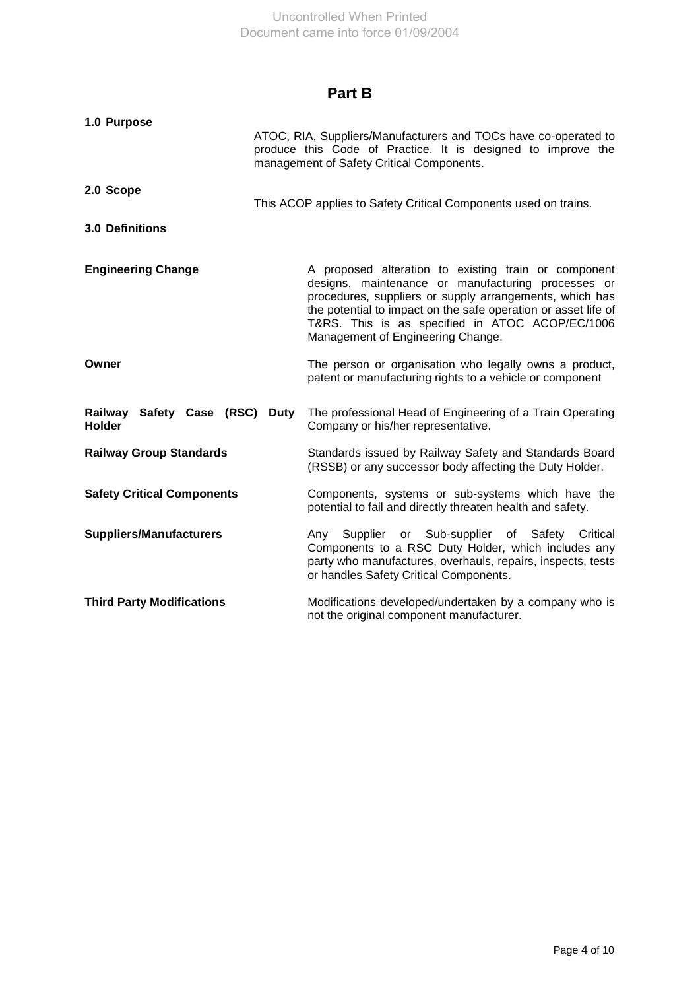# **Part B**

| 1.0 Purpose                                        | ATOC, RIA, Suppliers/Manufacturers and TOCs have co-operated to<br>produce this Code of Practice. It is designed to improve the<br>management of Safety Critical Components.                                                                                                                                                    |
|----------------------------------------------------|---------------------------------------------------------------------------------------------------------------------------------------------------------------------------------------------------------------------------------------------------------------------------------------------------------------------------------|
| 2.0 Scope                                          | This ACOP applies to Safety Critical Components used on trains.                                                                                                                                                                                                                                                                 |
| <b>3.0 Definitions</b>                             |                                                                                                                                                                                                                                                                                                                                 |
| <b>Engineering Change</b>                          | A proposed alteration to existing train or component<br>designs, maintenance or manufacturing processes or<br>procedures, suppliers or supply arrangements, which has<br>the potential to impact on the safe operation or asset life of<br>T&RS. This is as specified in ATOC ACOP/EC/1006<br>Management of Engineering Change. |
| Owner                                              | The person or organisation who legally owns a product,<br>patent or manufacturing rights to a vehicle or component                                                                                                                                                                                                              |
| Safety Case (RSC) Duty<br>Railway<br><b>Holder</b> | The professional Head of Engineering of a Train Operating<br>Company or his/her representative.                                                                                                                                                                                                                                 |
| <b>Railway Group Standards</b>                     | Standards issued by Railway Safety and Standards Board<br>(RSSB) or any successor body affecting the Duty Holder.                                                                                                                                                                                                               |
| <b>Safety Critical Components</b>                  | Components, systems or sub-systems which have the<br>potential to fail and directly threaten health and safety.                                                                                                                                                                                                                 |
| <b>Suppliers/Manufacturers</b>                     | Any Supplier or Sub-supplier of Safety Critical<br>Components to a RSC Duty Holder, which includes any<br>party who manufactures, overhauls, repairs, inspects, tests<br>or handles Safety Critical Components.                                                                                                                 |
| <b>Third Party Modifications</b>                   | Modifications developed/undertaken by a company who is<br>not the original component manufacturer.                                                                                                                                                                                                                              |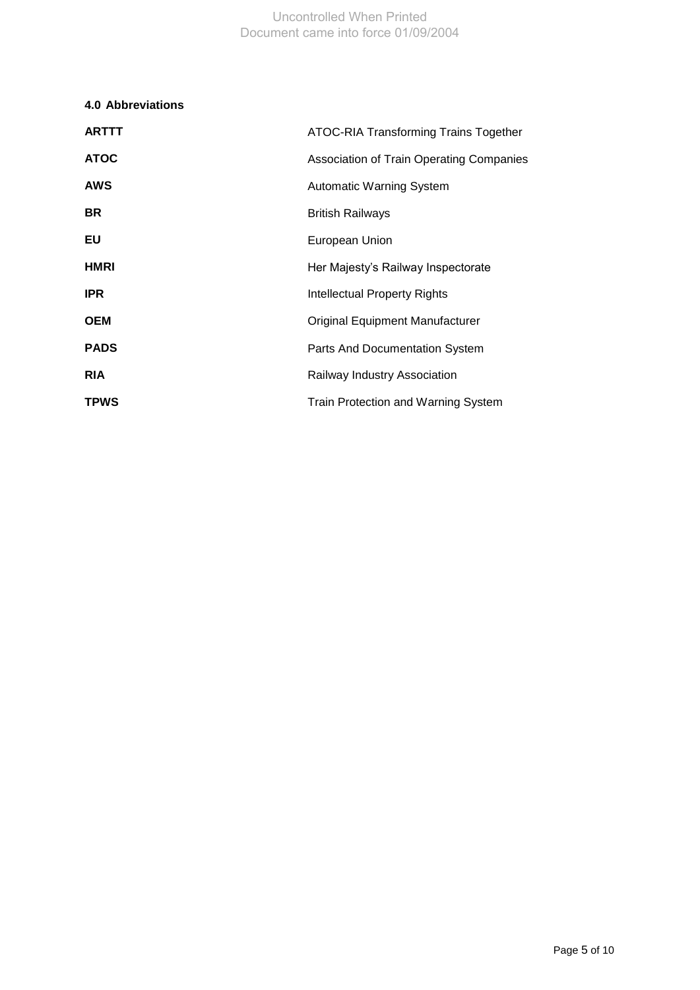## Uncontrolled When Printed Document came into force 01/09/2004

## **4.0 Abbreviations**

| <b>ARTTT</b> | ATOC-RIA Transforming Trains Together    |
|--------------|------------------------------------------|
| <b>ATOC</b>  | Association of Train Operating Companies |
| <b>AWS</b>   | <b>Automatic Warning System</b>          |
| <b>BR</b>    | <b>British Railways</b>                  |
| EU           | European Union                           |
| <b>HMRI</b>  | Her Majesty's Railway Inspectorate       |
| <b>IPR</b>   | <b>Intellectual Property Rights</b>      |
| <b>OEM</b>   | Original Equipment Manufacturer          |
| <b>PADS</b>  | <b>Parts And Documentation System</b>    |
| <b>RIA</b>   | Railway Industry Association             |
| <b>TPWS</b>  | Train Protection and Warning System      |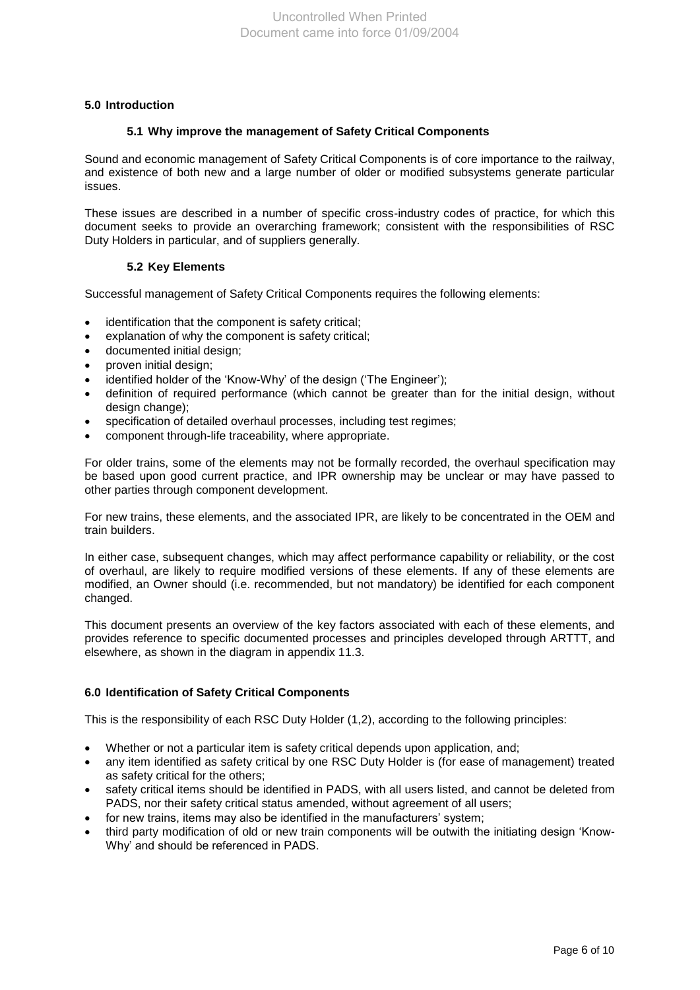#### **5.0 Introduction**

#### **5.1 Why improve the management of Safety Critical Components**

Sound and economic management of Safety Critical Components is of core importance to the railway, and existence of both new and a large number of older or modified subsystems generate particular issues.

These issues are described in a number of specific cross-industry codes of practice, for which this document seeks to provide an overarching framework; consistent with the responsibilities of RSC Duty Holders in particular, and of suppliers generally.

#### **5.2 Key Elements**

Successful management of Safety Critical Components requires the following elements:

- identification that the component is safety critical;
- explanation of why the component is safety critical;
- documented initial design;
- proven initial design;
- identified holder of the 'Know-Why' of the design ('The Engineer');
- definition of required performance (which cannot be greater than for the initial design, without design change);
- specification of detailed overhaul processes, including test regimes;
- component through-life traceability, where appropriate.

For older trains, some of the elements may not be formally recorded, the overhaul specification may be based upon good current practice, and IPR ownership may be unclear or may have passed to other parties through component development.

For new trains, these elements, and the associated IPR, are likely to be concentrated in the OEM and train builders.

In either case, subsequent changes, which may affect performance capability or reliability, or the cost of overhaul, are likely to require modified versions of these elements. If any of these elements are modified, an Owner should (i.e. recommended, but not mandatory) be identified for each component changed.

This document presents an overview of the key factors associated with each of these elements, and provides reference to specific documented processes and principles developed through ARTTT, and elsewhere, as shown in the diagram in appendix 11.3.

#### **6.0 Identification of Safety Critical Components**

This is the responsibility of each RSC Duty Holder (1,2), according to the following principles:

- Whether or not a particular item is safety critical depends upon application, and;
- any item identified as safety critical by one RSC Duty Holder is (for ease of management) treated as safety critical for the others;
- safety critical items should be identified in PADS, with all users listed, and cannot be deleted from PADS, nor their safety critical status amended, without agreement of all users;
- for new trains, items may also be identified in the manufacturers' system;
- third party modification of old or new train components will be outwith the initiating design "Know-Why" and should be referenced in PADS.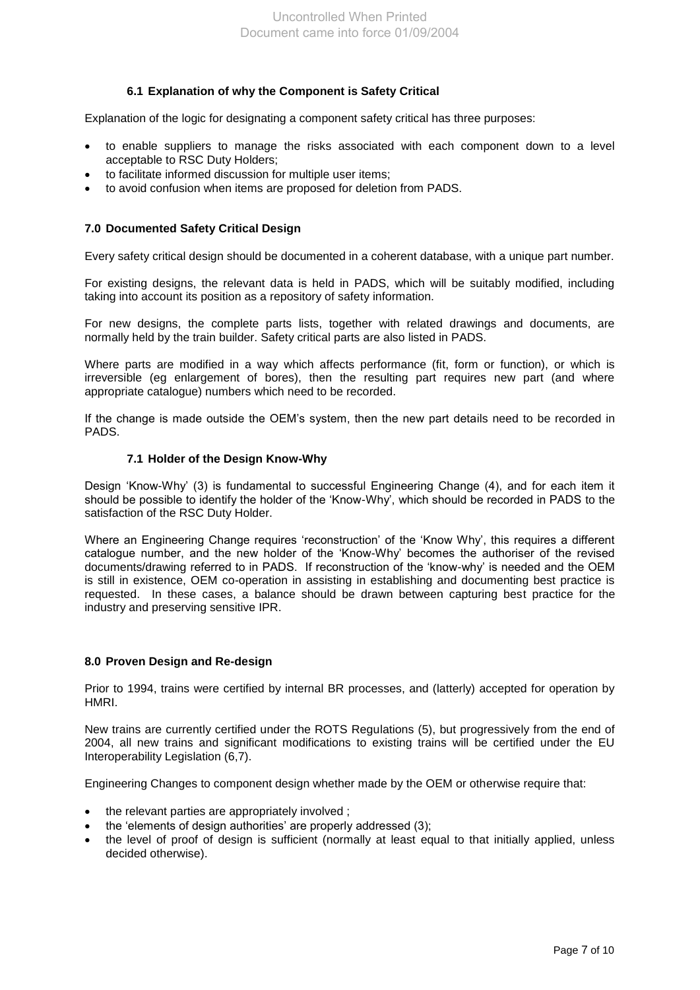#### **6.1 Explanation of why the Component is Safety Critical**

Explanation of the logic for designating a component safety critical has three purposes:

- to enable suppliers to manage the risks associated with each component down to a level acceptable to RSC Duty Holders;
- to facilitate informed discussion for multiple user items;
- to avoid confusion when items are proposed for deletion from PADS.

#### **7.0 Documented Safety Critical Design**

Every safety critical design should be documented in a coherent database, with a unique part number.

For existing designs, the relevant data is held in PADS, which will be suitably modified, including taking into account its position as a repository of safety information.

For new designs, the complete parts lists, together with related drawings and documents, are normally held by the train builder. Safety critical parts are also listed in PADS.

Where parts are modified in a way which affects performance (fit, form or function), or which is irreversible (eg enlargement of bores), then the resulting part requires new part (and where appropriate catalogue) numbers which need to be recorded.

If the change is made outside the OEM"s system, then the new part details need to be recorded in PADS.

#### **7.1 Holder of the Design Know-Why**

Design "Know-Why" (3) is fundamental to successful Engineering Change (4), and for each item it should be possible to identify the holder of the "Know-Why", which should be recorded in PADS to the satisfaction of the RSC Duty Holder.

Where an Engineering Change requires "reconstruction" of the "Know Why", this requires a different catalogue number, and the new holder of the "Know-Why" becomes the authoriser of the revised documents/drawing referred to in PADS. If reconstruction of the "know-why" is needed and the OEM is still in existence, OEM co-operation in assisting in establishing and documenting best practice is requested. In these cases, a balance should be drawn between capturing best practice for the industry and preserving sensitive IPR.

#### **8.0 Proven Design and Re-design**

Prior to 1994, trains were certified by internal BR processes, and (latterly) accepted for operation by HMRI.

New trains are currently certified under the ROTS Regulations (5), but progressively from the end of 2004, all new trains and significant modifications to existing trains will be certified under the EU Interoperability Legislation (6,7).

Engineering Changes to component design whether made by the OEM or otherwise require that:

- the relevant parties are appropriately involved ;
- the 'elements of design authorities' are properly addressed (3);
- the level of proof of design is sufficient (normally at least equal to that initially applied, unless decided otherwise).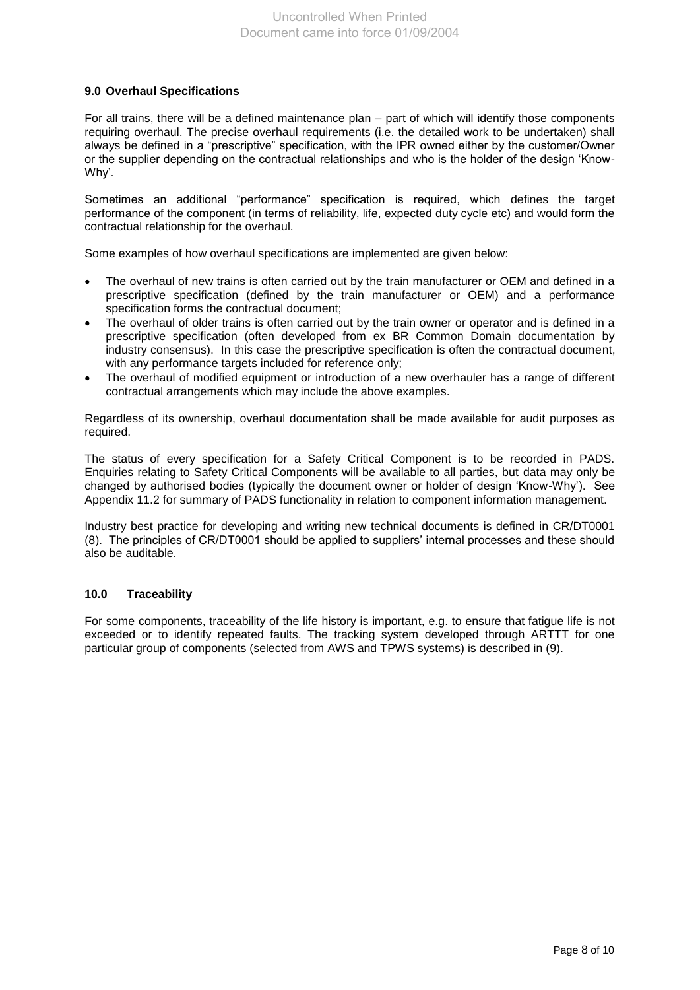#### **9.0 Overhaul Specifications**

For all trains, there will be a defined maintenance plan – part of which will identify those components requiring overhaul. The precise overhaul requirements (i.e. the detailed work to be undertaken) shall always be defined in a "prescriptive" specification, with the IPR owned either by the customer/Owner or the supplier depending on the contractual relationships and who is the holder of the design "Know-Why".

Sometimes an additional "performance" specification is required, which defines the target performance of the component (in terms of reliability, life, expected duty cycle etc) and would form the contractual relationship for the overhaul.

Some examples of how overhaul specifications are implemented are given below:

- The overhaul of new trains is often carried out by the train manufacturer or OEM and defined in a prescriptive specification (defined by the train manufacturer or OEM) and a performance specification forms the contractual document;
- The overhaul of older trains is often carried out by the train owner or operator and is defined in a prescriptive specification (often developed from ex BR Common Domain documentation by industry consensus). In this case the prescriptive specification is often the contractual document, with any performance targets included for reference only;
- The overhaul of modified equipment or introduction of a new overhauler has a range of different contractual arrangements which may include the above examples.

Regardless of its ownership, overhaul documentation shall be made available for audit purposes as required.

The status of every specification for a Safety Critical Component is to be recorded in PADS. Enquiries relating to Safety Critical Components will be available to all parties, but data may only be changed by authorised bodies (typically the document owner or holder of design "Know-Why"). See Appendix 11.2 for summary of PADS functionality in relation to component information management.

Industry best practice for developing and writing new technical documents is defined in CR/DT0001 (8). The principles of CR/DT0001 should be applied to suppliers" internal processes and these should also be auditable.

#### **10.0 Traceability**

For some components, traceability of the life history is important, e.g. to ensure that fatigue life is not exceeded or to identify repeated faults. The tracking system developed through ARTTT for one particular group of components (selected from AWS and TPWS systems) is described in (9).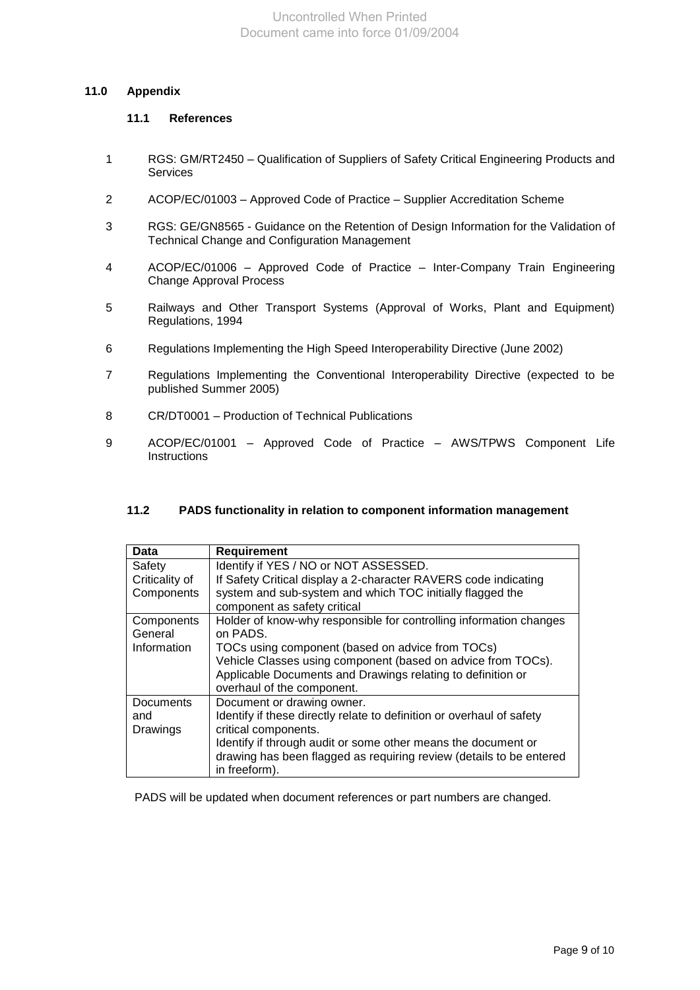#### **11.0 Appendix**

#### **11.1 References**

- 1 RGS: GM/RT2450 Qualification of Suppliers of Safety Critical Engineering Products and **Services**
- 2 ACOP/EC/01003 Approved Code of Practice Supplier Accreditation Scheme
- 3 RGS: GE/GN8565 Guidance on the Retention of Design Information for the Validation of Technical Change and Configuration Management
- 4 ACOP/EC/01006 Approved Code of Practice Inter-Company Train Engineering Change Approval Process
- 5 Railways and Other Transport Systems (Approval of Works, Plant and Equipment) Regulations, 1994
- 6 Regulations Implementing the High Speed Interoperability Directive (June 2002)
- 7 Regulations Implementing the Conventional Interoperability Directive (expected to be published Summer 2005)
- 8 CR/DT0001 Production of Technical Publications
- 9 ACOP/EC/01001 Approved Code of Practice AWS/TPWS Component Life **Instructions**

#### **11.2 PADS functionality in relation to component information management**

| Data                                   | Requirement                                                                                                                                                                                                                                                                                     |
|----------------------------------------|-------------------------------------------------------------------------------------------------------------------------------------------------------------------------------------------------------------------------------------------------------------------------------------------------|
| Safety<br>Criticality of<br>Components | Identify if YES / NO or NOT ASSESSED.<br>If Safety Critical display a 2-character RAVERS code indicating<br>system and sub-system and which TOC initially flagged the<br>component as safety critical                                                                                           |
| Components<br>General<br>Information   | Holder of know-why responsible for controlling information changes<br>on PADS.<br>TOCs using component (based on advice from TOCs)<br>Vehicle Classes using component (based on advice from TOCs).<br>Applicable Documents and Drawings relating to definition or<br>overhaul of the component. |
| Documents<br>and<br>Drawings           | Document or drawing owner.<br>Identify if these directly relate to definition or overhaul of safety<br>critical components.<br>Identify if through audit or some other means the document or<br>drawing has been flagged as requiring review (details to be entered<br>in freeform).            |

PADS will be updated when document references or part numbers are changed.